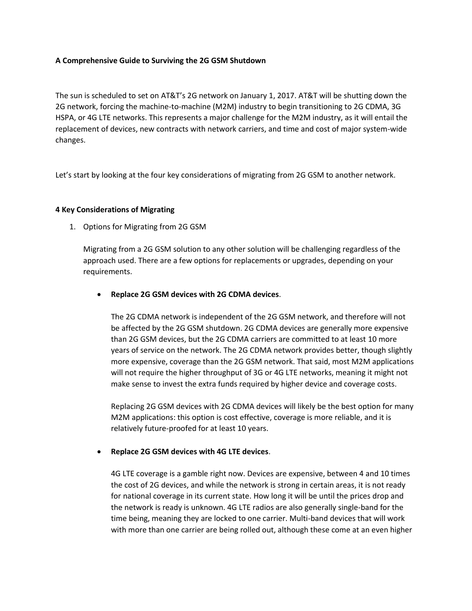### **A Comprehensive Guide to Surviving the 2G GSM Shutdown**

The sun is scheduled to set on AT&T's 2G network on January 1, 2017. AT&T will be shutting down the 2G network, forcing the machine-to-machine (M2M) industry to begin transitioning to 2G CDMA, 3G HSPA, or 4G LTE networks. This represents a major challenge for the M2M industry, as it will entail the replacement of devices, new contracts with network carriers, and time and cost of major system-wide changes.

Let's start by looking at the four key considerations of migrating from 2G GSM to another network.

#### **4 Key Considerations of Migrating**

1. Options for Migrating from 2G GSM

Migrating from a 2G GSM solution to any other solution will be challenging regardless of the approach used. There are a few options for replacements or upgrades, depending on your requirements.

**Replace 2G GSM devices with 2G CDMA devices**.

The 2G CDMA network is independent of the 2G GSM network, and therefore will not be affected by the 2G GSM shutdown. 2G CDMA devices are generally more expensive than 2G GSM devices, but the 2G CDMA carriers are committed to at least 10 more years of service on the network. The 2G CDMA network provides better, though slightly more expensive, coverage than the 2G GSM network. That said, most M2M applications will not require the higher throughput of 3G or 4G LTE networks, meaning it might not make sense to invest the extra funds required by higher device and coverage costs.

Replacing 2G GSM devices with 2G CDMA devices will likely be the best option for many M2M applications: this option is cost effective, coverage is more reliable, and it is relatively future-proofed for at least 10 years.

## **Replace 2G GSM devices with 4G LTE devices**.

4G LTE coverage is a gamble right now. Devices are expensive, between 4 and 10 times the cost of 2G devices, and while the network is strong in certain areas, it is not ready for national coverage in its current state. How long it will be until the prices drop and the network is ready is unknown. 4G LTE radios are also generally single-band for the time being, meaning they are locked to one carrier. Multi-band devices that will work with more than one carrier are being rolled out, although these come at an even higher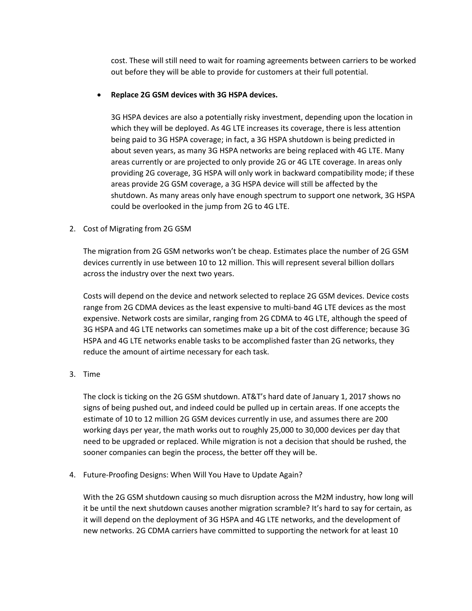cost. These will still need to wait for roaming agreements between carriers to be worked out before they will be able to provide for customers at their full potential.

## **Replace 2G GSM devices with 3G HSPA devices.**

3G HSPA devices are also a potentially risky investment, depending upon the location in which they will be deployed. As 4G LTE increases its coverage, there is less attention being paid to 3G HSPA coverage; in fact, a 3G HSPA shutdown is being predicted in about seven years, as many 3G HSPA networks are being replaced with 4G LTE. Many areas currently or are projected to only provide 2G or 4G LTE coverage. In areas only providing 2G coverage, 3G HSPA will only work in backward compatibility mode; if these areas provide 2G GSM coverage, a 3G HSPA device will still be affected by the shutdown. As many areas only have enough spectrum to support one network, 3G HSPA could be overlooked in the jump from 2G to 4G LTE.

# 2. Cost of Migrating from 2G GSM

The migration from 2G GSM networks won't be cheap. Estimates place the number of 2G GSM devices currently in use between 10 to 12 million. This will represent several billion dollars across the industry over the next two years.

Costs will depend on the device and network selected to replace 2G GSM devices. Device costs range from 2G CDMA devices as the least expensive to multi-band 4G LTE devices as the most expensive. Network costs are similar, ranging from 2G CDMA to 4G LTE, although the speed of 3G HSPA and 4G LTE networks can sometimes make up a bit of the cost difference; because 3G HSPA and 4G LTE networks enable tasks to be accomplished faster than 2G networks, they reduce the amount of airtime necessary for each task.

3. Time

The clock is ticking on the 2G GSM shutdown. AT&T's hard date of January 1, 2017 shows no signs of being pushed out, and indeed could be pulled up in certain areas. If one accepts the estimate of 10 to 12 million 2G GSM devices currently in use, and assumes there are 200 working days per year, the math works out to roughly 25,000 to 30,000 devices per day that need to be upgraded or replaced. While migration is not a decision that should be rushed, the sooner companies can begin the process, the better off they will be.

4. Future-Proofing Designs: When Will You Have to Update Again?

With the 2G GSM shutdown causing so much disruption across the M2M industry, how long will it be until the next shutdown causes another migration scramble? It's hard to say for certain, as it will depend on the deployment of 3G HSPA and 4G LTE networks, and the development of new networks. 2G CDMA carriers have committed to supporting the network for at least 10